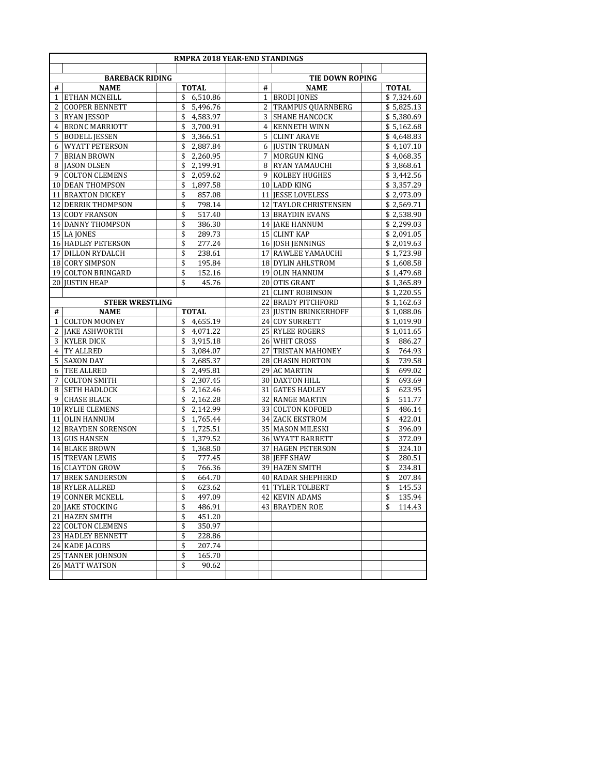|                 | RMPRA 2018 YEAR-END STANDINGS            |                        |                |                       |              |  |  |
|-----------------|------------------------------------------|------------------------|----------------|-----------------------|--------------|--|--|
|                 |                                          |                        |                |                       |              |  |  |
|                 | <b>BAREBACK RIDING</b>                   |                        |                | TIE DOWN ROPING       |              |  |  |
| #               | <b>NAME</b>                              | <b>TOTAL</b>           | #              | <b>NAME</b>           | <b>TOTAL</b> |  |  |
| $\mathbf{1}$    | ETHAN MCNEILL                            | \$<br>6,510.86         | $\mathbf{1}$   | <b>BRODI JONES</b>    | \$7,324.60   |  |  |
| 2               | <b>COOPER BENNETT</b>                    | \$<br>5,496.76         | 2              | TRAMPUS QUARNBERG     | \$5,825.13   |  |  |
| 3               | <b>RYAN JESSOP</b>                       | 4,583.97<br>\$         | 3              | <b>SHANE HANCOCK</b>  | \$5,380.69   |  |  |
| 4               | <b>BRONC MARRIOTT</b>                    | \$<br>3,700.91         | $\overline{4}$ | <b>KENNETH WINN</b>   | \$5,162.68   |  |  |
| 5               | <b>BODELL JESSEN</b>                     | 3,366.51<br>\$         | 5              | <b>CLINT ARAVE</b>    | \$4,648.83   |  |  |
| 6               | <b>WYATT PETERSON</b>                    | \$<br>2,887.84         | 6              | <b>JUSTIN TRUMAN</b>  | \$4,107.10   |  |  |
| 7               | <b>BRIAN BROWN</b>                       | \$<br>2,260.95         | 7              | MORGUN KING           | \$4,068.35   |  |  |
| 8               | JASON OLSEN                              | \$<br>2,199.91         | 8              | <b>RYAN YAMAUCHI</b>  | \$3,868.61   |  |  |
| 9               | <b>COLTON CLEMENS</b>                    | 2,059.62<br>\$         | 9              | <b>KOLBEY HUGHES</b>  | \$3,442.56   |  |  |
| 10              | <b>DEAN THOMPSON</b>                     | \$<br>1,897.58         |                | 10 LADD KING          | \$3,357.29   |  |  |
|                 | 11 BRAXTON DICKEY                        | \$<br>857.08           |                | 11 JESSE LOVELESS     | \$2,973.09   |  |  |
| 12              | <b>DERRIK THOMPSON</b>                   | 798.14<br>\$           |                | 12 TAYLOR CHRISTENSEN | \$2,569.71   |  |  |
| 13              | <b>CODY FRANSON</b>                      | \$<br>517.40           |                | 13 BRAYDIN EVANS      | \$2,538.90   |  |  |
|                 | 14 DANNY THOMPSON                        | \$<br>386.30           |                | 14 JAKE HANNUM        | \$2,299.03   |  |  |
|                 | 15 LA JONES                              | \$<br>289.73           |                | 15 CLINT KAP          | \$2,091.05   |  |  |
|                 | <b>16 HADLEY PETERSON</b>                | \$<br>277.24           |                | 16 JOSH JENNINGS      | \$2,019.63   |  |  |
|                 | 17 DILLON RYDALCH                        | \$<br>238.61           |                | 17 RAWLEE YAMAUCHI    | \$1,723.98   |  |  |
|                 | 18 CORY SIMPSON                          | \$<br>195.84           |                | 18 DYLIN AHLSTROM     | \$1,608.58   |  |  |
| 19              | <b>COLTON BRINGARD</b>                   | \$<br>152.16           |                | 19 OLIN HANNUM        | \$1,479.68   |  |  |
|                 | 20 JUSTIN HEAP                           | \$<br>45.76            |                | 20 OTIS GRANT         | \$1,365.89   |  |  |
|                 |                                          |                        |                | 21 CLINT ROBINSON     | \$1,220.55   |  |  |
|                 | <b>STEER WRESTLING</b>                   |                        |                | 22 BRADY PITCHFORD    | \$1,162.63   |  |  |
| #               | <b>NAME</b>                              | <b>TOTAL</b>           |                | 23 JUSTIN BRINKERHOFF | \$1,088.06   |  |  |
| $\mathbf{1}$    | <b>COLTON MOONEY</b>                     | 4,655.19<br>\$         |                | 24 COY SURRETT        | \$1,019.90   |  |  |
| 2               | <b>JAKE ASHWORTH</b>                     | \$<br>4,071.22         |                | 25 RYLEE ROGERS       | \$1,011.65   |  |  |
| 3               | <b>KYLER DICK</b>                        | 3,915.18<br>\$         |                | 26 WHIT CROSS         | \$<br>886.27 |  |  |
| 4               | <b>TY ALLRED</b>                         | \$<br>3,084.07         |                | 27 TRISTAN MAHONEY    | \$<br>764.93 |  |  |
| 5               | <b>SAXON DAY</b>                         | \$<br>2,685.37         |                | 28 CHASIN HORTON      | \$<br>739.58 |  |  |
| 6               | TEE ALLRED                               | 2,495.81<br>\$         |                | 29 AC MARTIN          | \$<br>699.02 |  |  |
| 7               | <b>COLTON SMITH</b>                      | 2,307.45<br>\$         |                | 30 DAXTON HILL        | \$<br>693.69 |  |  |
| 8               | SETH HADLOCK                             | \$<br>2,162.46         |                | 31 GATES HADLEY       | \$<br>623.95 |  |  |
| 9               | <b>CHASE BLACK</b>                       | 2,162.28<br>\$         |                | 32 RANGE MARTIN       | \$<br>511.77 |  |  |
| 10 <sup>1</sup> | RYLIE CLEMENS                            | \$<br>2,142.99         |                | 33 COLTON KOFOED      | \$<br>486.14 |  |  |
| 11              | <b>OLIN HANNUM</b>                       | \$<br>1,765.44         |                | 34 ZACK EKSTROM       | \$<br>422.01 |  |  |
| 12              | <b>BRAYDEN SORENSON</b>                  | 1,725.51<br>\$         |                | 35 MASON MILESKI      | \$<br>396.09 |  |  |
| 13              | <b>GUS HANSEN</b>                        | \$<br>1,379.52         |                | 36 WYATT BARRETT      | \$<br>372.09 |  |  |
| 14              | <b>BLAKE BROWN</b>                       | \$<br>1,368.50         | 37             | <b>HAGEN PETERSON</b> | \$<br>324.10 |  |  |
|                 | 15 TREVAN LEWIS                          | 777.45<br>\$           |                | 38 JEFF SHAW          | \$<br>280.51 |  |  |
|                 | 16 CLAYTON GROW<br><b>BREK SANDERSON</b> | \$<br>766.36           |                | 39 HAZEN SMITH        | \$<br>234.81 |  |  |
| 17              |                                          | \$<br>664.70           |                | 40 RADAR SHEPHERD     | \$<br>207.84 |  |  |
| 18              | <b>RYLER ALLRED</b>                      | \$<br>623.62           |                | 41 TYLER TOLBERT      | \$<br>145.53 |  |  |
|                 | 19 CONNER MCKELL                         | \$<br>497.09           |                | 42 KEVIN ADAMS        | \$<br>135.94 |  |  |
|                 | 20 JAKE STOCKING                         | \$<br>486.91           |                | 43 BRAYDEN ROE        | \$<br>114.43 |  |  |
|                 | 21 HAZEN SMITH<br>22 COLTON CLEMENS      | \$<br>451.20<br>350.97 |                |                       |              |  |  |
|                 | 23 HADLEY BENNETT                        | \$<br>\$<br>228.86     |                |                       |              |  |  |
|                 |                                          | \$<br>207.74           |                |                       |              |  |  |
|                 | 24 KADE JACOBS<br>25 TANNER JOHNSON      | \$<br>165.70           |                |                       |              |  |  |
|                 | 26 MATT WATSON                           | \$<br>90.62            |                |                       |              |  |  |
|                 |                                          |                        |                |                       |              |  |  |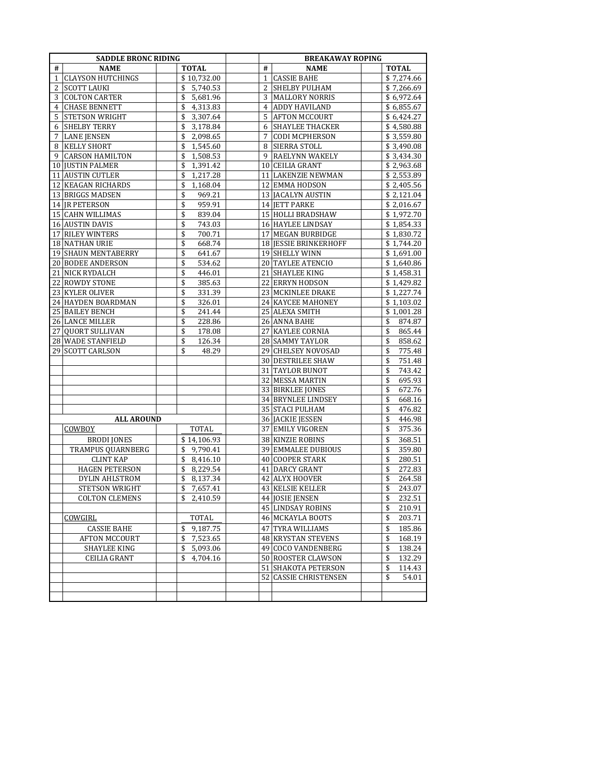| <b>NAME</b><br><b>TOTAL</b><br>#<br><b>NAME</b><br><b>TOTAL</b><br>#<br><b>CLAYSON HUTCHINGS</b><br>\$10,732.00<br><b>CASSIE BAHE</b><br>\$7,274.66<br>1<br>$\mathbf{1}$<br><b>SCOTT LAUKI</b><br>\$<br>5,740.53<br>2<br><b>SHELBY PULHAM</b><br>\$7,266.69<br>2<br><b>COLTON CARTER</b><br>\$<br>5,681.96<br>3<br><b>MALLORY NORRIS</b><br>\$6,972.64<br>3<br>\$<br>$\overline{4}$<br>4<br><b>CHASE BENNETT</b><br>4,313.83<br><b>ADDY HAVILAND</b><br>\$6,855.67<br>5<br><b>STETSON WRIGHT</b><br>\$<br>3,307.64<br>5<br><b>AFTON MCCOURT</b><br>\$6,424.27<br><b>SHELBY TERRY</b><br>\$<br>6<br><b>SHAYLEE THACKER</b><br>3,178.84<br>\$4,580.88<br>6<br>7<br>\$<br><b>LANE JENSEN</b><br>2,098.65<br>7<br><b>CODI MCPHERSON</b><br>\$3,559.80<br><b>KELLY SHORT</b><br>\$<br>1,545.60<br><b>SIERRA STOLL</b><br>\$3,490.08<br>8<br>8<br>9 RAELYNN WAKELY<br>9<br><b>CARSON HAMILTON</b><br>\$<br>1,508.53<br>\$3,434.30<br>\$<br>10 CEILIA GRANT<br><b>JUSTIN PALMER</b><br>1,391.42<br>\$2,963.68<br>10<br>11 AUSTIN CUTLER<br>\$<br>11 LAKENZIE NEWMAN<br>\$2,553.89<br>1,217.28<br>\$<br>12 KEAGAN RICHARDS<br>12 EMMA HODSON<br>\$2,405.56<br>1,168.04<br>\$<br>13 JACALYN AUSTIN<br>13 BRIGGS MADSEN<br>969.21<br>\$2,121.04<br>\$<br>959.91<br>14 JR PETERSON<br>14 JETT PARKE<br>\$2,016.67<br>\$<br>15 CAHN WILLIMAS<br>839.04<br>15 HOLLI BRADSHAW<br>\$1,972.70<br>16 AUSTIN DAVIS<br>\$<br>16 HAYLEE LINDSAY<br>743.03<br>\$1,854.33<br>\$<br>17 RILEY WINTERS<br>700.71<br>17 MEGAN BURBIDGE<br>\$1,830.72<br>\$<br>18 NATHAN URIE<br>668.74<br>18 JESSIE BRINKERHOFF<br>\$1,744.20<br>\$<br>19 SHELLY WINN<br>19 SHAUN MENTABERRY<br>641.67<br>\$1,691.00<br>\$<br>20 BODEE ANDERSON<br>534.62<br>20 TAYLEE ATENCIO<br>\$1,640.86<br>\$<br>21 NICK RYDALCH<br>446.01<br>21 SHAYLEE KING<br>\$1,458.31<br>\$<br>22 ROWDY STONE<br>385.63<br>22 ERRYN HODSON<br>\$1,429.82<br>\$<br>23 KYLER OLIVER<br>331.39<br>23 MCKINLEE DRAKE<br>\$1,227.74<br>\$<br>24 KAYCEE MAHONEY<br>\$1,103.02<br>24 HAYDEN BOARDMAN<br>326.01<br>\$<br>25 BAILEY BENCH<br>241.44<br>25 ALEXA SMITH<br>\$1,001.28<br>\$<br>26 LANCE MILLER<br>228.86<br>26 ANNA BAHE<br>874.87<br>\$<br>\$<br>27 QUORT SULLIVAN<br>178.08<br>27 KAYLEE CORNIA<br>\$<br>865.44<br>\$<br>28 WADE STANFIELD<br>28 SAMMY TAYLOR<br>\$<br>858.62<br>126.34<br>\$<br>29 SCOTT CARLSON<br>48.29<br>29 CHELSEY NOVOSAD<br>775.48<br>\$<br>751.48<br>30 DESTRILEE SHAW<br>\$<br>31 TAYLOR BUNOT<br>743.42<br>\$<br>32 MESSA MARTIN<br>\$<br>695.93<br>33 BIRKLEE JONES<br>\$<br>672.76<br>34 BRYNLEE LINDSEY<br>\$<br>668.16 |
|-----------------------------------------------------------------------------------------------------------------------------------------------------------------------------------------------------------------------------------------------------------------------------------------------------------------------------------------------------------------------------------------------------------------------------------------------------------------------------------------------------------------------------------------------------------------------------------------------------------------------------------------------------------------------------------------------------------------------------------------------------------------------------------------------------------------------------------------------------------------------------------------------------------------------------------------------------------------------------------------------------------------------------------------------------------------------------------------------------------------------------------------------------------------------------------------------------------------------------------------------------------------------------------------------------------------------------------------------------------------------------------------------------------------------------------------------------------------------------------------------------------------------------------------------------------------------------------------------------------------------------------------------------------------------------------------------------------------------------------------------------------------------------------------------------------------------------------------------------------------------------------------------------------------------------------------------------------------------------------------------------------------------------------------------------------------------------------------------------------------------------------------------------------------------------------------------------------------------------------------------------------------------------------------------------------------------------------------------------------------------------------------------------------------------------------------------------------------------------------------------------------------------------------------------------------------------------------------------|
|                                                                                                                                                                                                                                                                                                                                                                                                                                                                                                                                                                                                                                                                                                                                                                                                                                                                                                                                                                                                                                                                                                                                                                                                                                                                                                                                                                                                                                                                                                                                                                                                                                                                                                                                                                                                                                                                                                                                                                                                                                                                                                                                                                                                                                                                                                                                                                                                                                                                                                                                                                                               |
|                                                                                                                                                                                                                                                                                                                                                                                                                                                                                                                                                                                                                                                                                                                                                                                                                                                                                                                                                                                                                                                                                                                                                                                                                                                                                                                                                                                                                                                                                                                                                                                                                                                                                                                                                                                                                                                                                                                                                                                                                                                                                                                                                                                                                                                                                                                                                                                                                                                                                                                                                                                               |
|                                                                                                                                                                                                                                                                                                                                                                                                                                                                                                                                                                                                                                                                                                                                                                                                                                                                                                                                                                                                                                                                                                                                                                                                                                                                                                                                                                                                                                                                                                                                                                                                                                                                                                                                                                                                                                                                                                                                                                                                                                                                                                                                                                                                                                                                                                                                                                                                                                                                                                                                                                                               |
|                                                                                                                                                                                                                                                                                                                                                                                                                                                                                                                                                                                                                                                                                                                                                                                                                                                                                                                                                                                                                                                                                                                                                                                                                                                                                                                                                                                                                                                                                                                                                                                                                                                                                                                                                                                                                                                                                                                                                                                                                                                                                                                                                                                                                                                                                                                                                                                                                                                                                                                                                                                               |
|                                                                                                                                                                                                                                                                                                                                                                                                                                                                                                                                                                                                                                                                                                                                                                                                                                                                                                                                                                                                                                                                                                                                                                                                                                                                                                                                                                                                                                                                                                                                                                                                                                                                                                                                                                                                                                                                                                                                                                                                                                                                                                                                                                                                                                                                                                                                                                                                                                                                                                                                                                                               |
|                                                                                                                                                                                                                                                                                                                                                                                                                                                                                                                                                                                                                                                                                                                                                                                                                                                                                                                                                                                                                                                                                                                                                                                                                                                                                                                                                                                                                                                                                                                                                                                                                                                                                                                                                                                                                                                                                                                                                                                                                                                                                                                                                                                                                                                                                                                                                                                                                                                                                                                                                                                               |
|                                                                                                                                                                                                                                                                                                                                                                                                                                                                                                                                                                                                                                                                                                                                                                                                                                                                                                                                                                                                                                                                                                                                                                                                                                                                                                                                                                                                                                                                                                                                                                                                                                                                                                                                                                                                                                                                                                                                                                                                                                                                                                                                                                                                                                                                                                                                                                                                                                                                                                                                                                                               |
|                                                                                                                                                                                                                                                                                                                                                                                                                                                                                                                                                                                                                                                                                                                                                                                                                                                                                                                                                                                                                                                                                                                                                                                                                                                                                                                                                                                                                                                                                                                                                                                                                                                                                                                                                                                                                                                                                                                                                                                                                                                                                                                                                                                                                                                                                                                                                                                                                                                                                                                                                                                               |
|                                                                                                                                                                                                                                                                                                                                                                                                                                                                                                                                                                                                                                                                                                                                                                                                                                                                                                                                                                                                                                                                                                                                                                                                                                                                                                                                                                                                                                                                                                                                                                                                                                                                                                                                                                                                                                                                                                                                                                                                                                                                                                                                                                                                                                                                                                                                                                                                                                                                                                                                                                                               |
|                                                                                                                                                                                                                                                                                                                                                                                                                                                                                                                                                                                                                                                                                                                                                                                                                                                                                                                                                                                                                                                                                                                                                                                                                                                                                                                                                                                                                                                                                                                                                                                                                                                                                                                                                                                                                                                                                                                                                                                                                                                                                                                                                                                                                                                                                                                                                                                                                                                                                                                                                                                               |
|                                                                                                                                                                                                                                                                                                                                                                                                                                                                                                                                                                                                                                                                                                                                                                                                                                                                                                                                                                                                                                                                                                                                                                                                                                                                                                                                                                                                                                                                                                                                                                                                                                                                                                                                                                                                                                                                                                                                                                                                                                                                                                                                                                                                                                                                                                                                                                                                                                                                                                                                                                                               |
|                                                                                                                                                                                                                                                                                                                                                                                                                                                                                                                                                                                                                                                                                                                                                                                                                                                                                                                                                                                                                                                                                                                                                                                                                                                                                                                                                                                                                                                                                                                                                                                                                                                                                                                                                                                                                                                                                                                                                                                                                                                                                                                                                                                                                                                                                                                                                                                                                                                                                                                                                                                               |
|                                                                                                                                                                                                                                                                                                                                                                                                                                                                                                                                                                                                                                                                                                                                                                                                                                                                                                                                                                                                                                                                                                                                                                                                                                                                                                                                                                                                                                                                                                                                                                                                                                                                                                                                                                                                                                                                                                                                                                                                                                                                                                                                                                                                                                                                                                                                                                                                                                                                                                                                                                                               |
|                                                                                                                                                                                                                                                                                                                                                                                                                                                                                                                                                                                                                                                                                                                                                                                                                                                                                                                                                                                                                                                                                                                                                                                                                                                                                                                                                                                                                                                                                                                                                                                                                                                                                                                                                                                                                                                                                                                                                                                                                                                                                                                                                                                                                                                                                                                                                                                                                                                                                                                                                                                               |
|                                                                                                                                                                                                                                                                                                                                                                                                                                                                                                                                                                                                                                                                                                                                                                                                                                                                                                                                                                                                                                                                                                                                                                                                                                                                                                                                                                                                                                                                                                                                                                                                                                                                                                                                                                                                                                                                                                                                                                                                                                                                                                                                                                                                                                                                                                                                                                                                                                                                                                                                                                                               |
|                                                                                                                                                                                                                                                                                                                                                                                                                                                                                                                                                                                                                                                                                                                                                                                                                                                                                                                                                                                                                                                                                                                                                                                                                                                                                                                                                                                                                                                                                                                                                                                                                                                                                                                                                                                                                                                                                                                                                                                                                                                                                                                                                                                                                                                                                                                                                                                                                                                                                                                                                                                               |
|                                                                                                                                                                                                                                                                                                                                                                                                                                                                                                                                                                                                                                                                                                                                                                                                                                                                                                                                                                                                                                                                                                                                                                                                                                                                                                                                                                                                                                                                                                                                                                                                                                                                                                                                                                                                                                                                                                                                                                                                                                                                                                                                                                                                                                                                                                                                                                                                                                                                                                                                                                                               |
|                                                                                                                                                                                                                                                                                                                                                                                                                                                                                                                                                                                                                                                                                                                                                                                                                                                                                                                                                                                                                                                                                                                                                                                                                                                                                                                                                                                                                                                                                                                                                                                                                                                                                                                                                                                                                                                                                                                                                                                                                                                                                                                                                                                                                                                                                                                                                                                                                                                                                                                                                                                               |
|                                                                                                                                                                                                                                                                                                                                                                                                                                                                                                                                                                                                                                                                                                                                                                                                                                                                                                                                                                                                                                                                                                                                                                                                                                                                                                                                                                                                                                                                                                                                                                                                                                                                                                                                                                                                                                                                                                                                                                                                                                                                                                                                                                                                                                                                                                                                                                                                                                                                                                                                                                                               |
|                                                                                                                                                                                                                                                                                                                                                                                                                                                                                                                                                                                                                                                                                                                                                                                                                                                                                                                                                                                                                                                                                                                                                                                                                                                                                                                                                                                                                                                                                                                                                                                                                                                                                                                                                                                                                                                                                                                                                                                                                                                                                                                                                                                                                                                                                                                                                                                                                                                                                                                                                                                               |
|                                                                                                                                                                                                                                                                                                                                                                                                                                                                                                                                                                                                                                                                                                                                                                                                                                                                                                                                                                                                                                                                                                                                                                                                                                                                                                                                                                                                                                                                                                                                                                                                                                                                                                                                                                                                                                                                                                                                                                                                                                                                                                                                                                                                                                                                                                                                                                                                                                                                                                                                                                                               |
|                                                                                                                                                                                                                                                                                                                                                                                                                                                                                                                                                                                                                                                                                                                                                                                                                                                                                                                                                                                                                                                                                                                                                                                                                                                                                                                                                                                                                                                                                                                                                                                                                                                                                                                                                                                                                                                                                                                                                                                                                                                                                                                                                                                                                                                                                                                                                                                                                                                                                                                                                                                               |
|                                                                                                                                                                                                                                                                                                                                                                                                                                                                                                                                                                                                                                                                                                                                                                                                                                                                                                                                                                                                                                                                                                                                                                                                                                                                                                                                                                                                                                                                                                                                                                                                                                                                                                                                                                                                                                                                                                                                                                                                                                                                                                                                                                                                                                                                                                                                                                                                                                                                                                                                                                                               |
|                                                                                                                                                                                                                                                                                                                                                                                                                                                                                                                                                                                                                                                                                                                                                                                                                                                                                                                                                                                                                                                                                                                                                                                                                                                                                                                                                                                                                                                                                                                                                                                                                                                                                                                                                                                                                                                                                                                                                                                                                                                                                                                                                                                                                                                                                                                                                                                                                                                                                                                                                                                               |
|                                                                                                                                                                                                                                                                                                                                                                                                                                                                                                                                                                                                                                                                                                                                                                                                                                                                                                                                                                                                                                                                                                                                                                                                                                                                                                                                                                                                                                                                                                                                                                                                                                                                                                                                                                                                                                                                                                                                                                                                                                                                                                                                                                                                                                                                                                                                                                                                                                                                                                                                                                                               |
|                                                                                                                                                                                                                                                                                                                                                                                                                                                                                                                                                                                                                                                                                                                                                                                                                                                                                                                                                                                                                                                                                                                                                                                                                                                                                                                                                                                                                                                                                                                                                                                                                                                                                                                                                                                                                                                                                                                                                                                                                                                                                                                                                                                                                                                                                                                                                                                                                                                                                                                                                                                               |
|                                                                                                                                                                                                                                                                                                                                                                                                                                                                                                                                                                                                                                                                                                                                                                                                                                                                                                                                                                                                                                                                                                                                                                                                                                                                                                                                                                                                                                                                                                                                                                                                                                                                                                                                                                                                                                                                                                                                                                                                                                                                                                                                                                                                                                                                                                                                                                                                                                                                                                                                                                                               |
|                                                                                                                                                                                                                                                                                                                                                                                                                                                                                                                                                                                                                                                                                                                                                                                                                                                                                                                                                                                                                                                                                                                                                                                                                                                                                                                                                                                                                                                                                                                                                                                                                                                                                                                                                                                                                                                                                                                                                                                                                                                                                                                                                                                                                                                                                                                                                                                                                                                                                                                                                                                               |
|                                                                                                                                                                                                                                                                                                                                                                                                                                                                                                                                                                                                                                                                                                                                                                                                                                                                                                                                                                                                                                                                                                                                                                                                                                                                                                                                                                                                                                                                                                                                                                                                                                                                                                                                                                                                                                                                                                                                                                                                                                                                                                                                                                                                                                                                                                                                                                                                                                                                                                                                                                                               |
|                                                                                                                                                                                                                                                                                                                                                                                                                                                                                                                                                                                                                                                                                                                                                                                                                                                                                                                                                                                                                                                                                                                                                                                                                                                                                                                                                                                                                                                                                                                                                                                                                                                                                                                                                                                                                                                                                                                                                                                                                                                                                                                                                                                                                                                                                                                                                                                                                                                                                                                                                                                               |
|                                                                                                                                                                                                                                                                                                                                                                                                                                                                                                                                                                                                                                                                                                                                                                                                                                                                                                                                                                                                                                                                                                                                                                                                                                                                                                                                                                                                                                                                                                                                                                                                                                                                                                                                                                                                                                                                                                                                                                                                                                                                                                                                                                                                                                                                                                                                                                                                                                                                                                                                                                                               |
|                                                                                                                                                                                                                                                                                                                                                                                                                                                                                                                                                                                                                                                                                                                                                                                                                                                                                                                                                                                                                                                                                                                                                                                                                                                                                                                                                                                                                                                                                                                                                                                                                                                                                                                                                                                                                                                                                                                                                                                                                                                                                                                                                                                                                                                                                                                                                                                                                                                                                                                                                                                               |
|                                                                                                                                                                                                                                                                                                                                                                                                                                                                                                                                                                                                                                                                                                                                                                                                                                                                                                                                                                                                                                                                                                                                                                                                                                                                                                                                                                                                                                                                                                                                                                                                                                                                                                                                                                                                                                                                                                                                                                                                                                                                                                                                                                                                                                                                                                                                                                                                                                                                                                                                                                                               |
|                                                                                                                                                                                                                                                                                                                                                                                                                                                                                                                                                                                                                                                                                                                                                                                                                                                                                                                                                                                                                                                                                                                                                                                                                                                                                                                                                                                                                                                                                                                                                                                                                                                                                                                                                                                                                                                                                                                                                                                                                                                                                                                                                                                                                                                                                                                                                                                                                                                                                                                                                                                               |
|                                                                                                                                                                                                                                                                                                                                                                                                                                                                                                                                                                                                                                                                                                                                                                                                                                                                                                                                                                                                                                                                                                                                                                                                                                                                                                                                                                                                                                                                                                                                                                                                                                                                                                                                                                                                                                                                                                                                                                                                                                                                                                                                                                                                                                                                                                                                                                                                                                                                                                                                                                                               |
| 35 STACI PULHAM<br>476.82<br>\$                                                                                                                                                                                                                                                                                                                                                                                                                                                                                                                                                                                                                                                                                                                                                                                                                                                                                                                                                                                                                                                                                                                                                                                                                                                                                                                                                                                                                                                                                                                                                                                                                                                                                                                                                                                                                                                                                                                                                                                                                                                                                                                                                                                                                                                                                                                                                                                                                                                                                                                                                               |
| 36 JACKIE JESSEN<br>\$<br>446.98<br><b>ALL AROUND</b>                                                                                                                                                                                                                                                                                                                                                                                                                                                                                                                                                                                                                                                                                                                                                                                                                                                                                                                                                                                                                                                                                                                                                                                                                                                                                                                                                                                                                                                                                                                                                                                                                                                                                                                                                                                                                                                                                                                                                                                                                                                                                                                                                                                                                                                                                                                                                                                                                                                                                                                                         |
| 37 EMILY VIGOREN<br>375.36<br><b>COWBOY</b><br>TOTAL<br>\$                                                                                                                                                                                                                                                                                                                                                                                                                                                                                                                                                                                                                                                                                                                                                                                                                                                                                                                                                                                                                                                                                                                                                                                                                                                                                                                                                                                                                                                                                                                                                                                                                                                                                                                                                                                                                                                                                                                                                                                                                                                                                                                                                                                                                                                                                                                                                                                                                                                                                                                                    |
| <b>BRODI JONES</b><br>38 KINZIE ROBINS<br>\$<br>368.51<br>\$14,106.93                                                                                                                                                                                                                                                                                                                                                                                                                                                                                                                                                                                                                                                                                                                                                                                                                                                                                                                                                                                                                                                                                                                                                                                                                                                                                                                                                                                                                                                                                                                                                                                                                                                                                                                                                                                                                                                                                                                                                                                                                                                                                                                                                                                                                                                                                                                                                                                                                                                                                                                         |
| TRAMPUS QUARNBERG<br>\$<br>359.80<br>9,790.41<br>39 EMMALEE DUBIOUS<br>\$                                                                                                                                                                                                                                                                                                                                                                                                                                                                                                                                                                                                                                                                                                                                                                                                                                                                                                                                                                                                                                                                                                                                                                                                                                                                                                                                                                                                                                                                                                                                                                                                                                                                                                                                                                                                                                                                                                                                                                                                                                                                                                                                                                                                                                                                                                                                                                                                                                                                                                                     |
| \$<br><b>CLINT KAP</b><br>8,416.10<br>40 COOPER STARK<br>\$<br>280.51                                                                                                                                                                                                                                                                                                                                                                                                                                                                                                                                                                                                                                                                                                                                                                                                                                                                                                                                                                                                                                                                                                                                                                                                                                                                                                                                                                                                                                                                                                                                                                                                                                                                                                                                                                                                                                                                                                                                                                                                                                                                                                                                                                                                                                                                                                                                                                                                                                                                                                                         |
| <b>HAGEN PETERSON</b><br>\$<br>8,229.54<br>41 DARCY GRANT<br>272.83<br>\$                                                                                                                                                                                                                                                                                                                                                                                                                                                                                                                                                                                                                                                                                                                                                                                                                                                                                                                                                                                                                                                                                                                                                                                                                                                                                                                                                                                                                                                                                                                                                                                                                                                                                                                                                                                                                                                                                                                                                                                                                                                                                                                                                                                                                                                                                                                                                                                                                                                                                                                     |
| \$<br>DYLIN AHLSTROM<br>8,137.34<br>42 ALYX HOOVER<br>\$<br>264.58                                                                                                                                                                                                                                                                                                                                                                                                                                                                                                                                                                                                                                                                                                                                                                                                                                                                                                                                                                                                                                                                                                                                                                                                                                                                                                                                                                                                                                                                                                                                                                                                                                                                                                                                                                                                                                                                                                                                                                                                                                                                                                                                                                                                                                                                                                                                                                                                                                                                                                                            |
| \$<br>\$<br>243.07<br><b>STETSON WRIGHT</b><br>7,657.41<br>43 KELSIE KELLER                                                                                                                                                                                                                                                                                                                                                                                                                                                                                                                                                                                                                                                                                                                                                                                                                                                                                                                                                                                                                                                                                                                                                                                                                                                                                                                                                                                                                                                                                                                                                                                                                                                                                                                                                                                                                                                                                                                                                                                                                                                                                                                                                                                                                                                                                                                                                                                                                                                                                                                   |
| <b>COLTON CLEMENS</b><br>\$2,410.59<br>44 JOSIE JENSEN<br>232.51<br>\$                                                                                                                                                                                                                                                                                                                                                                                                                                                                                                                                                                                                                                                                                                                                                                                                                                                                                                                                                                                                                                                                                                                                                                                                                                                                                                                                                                                                                                                                                                                                                                                                                                                                                                                                                                                                                                                                                                                                                                                                                                                                                                                                                                                                                                                                                                                                                                                                                                                                                                                        |
| 45 LINDSAY ROBINS<br>\$<br>210.91                                                                                                                                                                                                                                                                                                                                                                                                                                                                                                                                                                                                                                                                                                                                                                                                                                                                                                                                                                                                                                                                                                                                                                                                                                                                                                                                                                                                                                                                                                                                                                                                                                                                                                                                                                                                                                                                                                                                                                                                                                                                                                                                                                                                                                                                                                                                                                                                                                                                                                                                                             |
| 46 MCKAYLA BOOTS<br>203.71<br>COWGIRL<br><b>TOTAL</b><br>\$                                                                                                                                                                                                                                                                                                                                                                                                                                                                                                                                                                                                                                                                                                                                                                                                                                                                                                                                                                                                                                                                                                                                                                                                                                                                                                                                                                                                                                                                                                                                                                                                                                                                                                                                                                                                                                                                                                                                                                                                                                                                                                                                                                                                                                                                                                                                                                                                                                                                                                                                   |
| 47 TYRA WILLIAMS<br><b>CASSIE BAHE</b><br>\$<br>9,187.75<br>185.86<br>\$                                                                                                                                                                                                                                                                                                                                                                                                                                                                                                                                                                                                                                                                                                                                                                                                                                                                                                                                                                                                                                                                                                                                                                                                                                                                                                                                                                                                                                                                                                                                                                                                                                                                                                                                                                                                                                                                                                                                                                                                                                                                                                                                                                                                                                                                                                                                                                                                                                                                                                                      |
| 48 KRYSTAN STEVENS<br><b>AFTON MCCOURT</b><br>168.19<br>\$<br>7,523.65<br>\$                                                                                                                                                                                                                                                                                                                                                                                                                                                                                                                                                                                                                                                                                                                                                                                                                                                                                                                                                                                                                                                                                                                                                                                                                                                                                                                                                                                                                                                                                                                                                                                                                                                                                                                                                                                                                                                                                                                                                                                                                                                                                                                                                                                                                                                                                                                                                                                                                                                                                                                  |
| \$<br>5,093.06<br>49 COCO VANDENBERG<br>\$<br>138.24<br>SHAYLEE KING                                                                                                                                                                                                                                                                                                                                                                                                                                                                                                                                                                                                                                                                                                                                                                                                                                                                                                                                                                                                                                                                                                                                                                                                                                                                                                                                                                                                                                                                                                                                                                                                                                                                                                                                                                                                                                                                                                                                                                                                                                                                                                                                                                                                                                                                                                                                                                                                                                                                                                                          |
| <b>CEILIA GRANT</b><br>\$<br>4,704.16<br>50 ROOSTER CLAWSON<br>132.29<br>\$                                                                                                                                                                                                                                                                                                                                                                                                                                                                                                                                                                                                                                                                                                                                                                                                                                                                                                                                                                                                                                                                                                                                                                                                                                                                                                                                                                                                                                                                                                                                                                                                                                                                                                                                                                                                                                                                                                                                                                                                                                                                                                                                                                                                                                                                                                                                                                                                                                                                                                                   |
| 51 SHAKOTA PETERSON<br>114.43<br>\$                                                                                                                                                                                                                                                                                                                                                                                                                                                                                                                                                                                                                                                                                                                                                                                                                                                                                                                                                                                                                                                                                                                                                                                                                                                                                                                                                                                                                                                                                                                                                                                                                                                                                                                                                                                                                                                                                                                                                                                                                                                                                                                                                                                                                                                                                                                                                                                                                                                                                                                                                           |
| 52 CASSIE CHRISTENSEN<br>\$<br>54.01                                                                                                                                                                                                                                                                                                                                                                                                                                                                                                                                                                                                                                                                                                                                                                                                                                                                                                                                                                                                                                                                                                                                                                                                                                                                                                                                                                                                                                                                                                                                                                                                                                                                                                                                                                                                                                                                                                                                                                                                                                                                                                                                                                                                                                                                                                                                                                                                                                                                                                                                                          |
|                                                                                                                                                                                                                                                                                                                                                                                                                                                                                                                                                                                                                                                                                                                                                                                                                                                                                                                                                                                                                                                                                                                                                                                                                                                                                                                                                                                                                                                                                                                                                                                                                                                                                                                                                                                                                                                                                                                                                                                                                                                                                                                                                                                                                                                                                                                                                                                                                                                                                                                                                                                               |
|                                                                                                                                                                                                                                                                                                                                                                                                                                                                                                                                                                                                                                                                                                                                                                                                                                                                                                                                                                                                                                                                                                                                                                                                                                                                                                                                                                                                                                                                                                                                                                                                                                                                                                                                                                                                                                                                                                                                                                                                                                                                                                                                                                                                                                                                                                                                                                                                                                                                                                                                                                                               |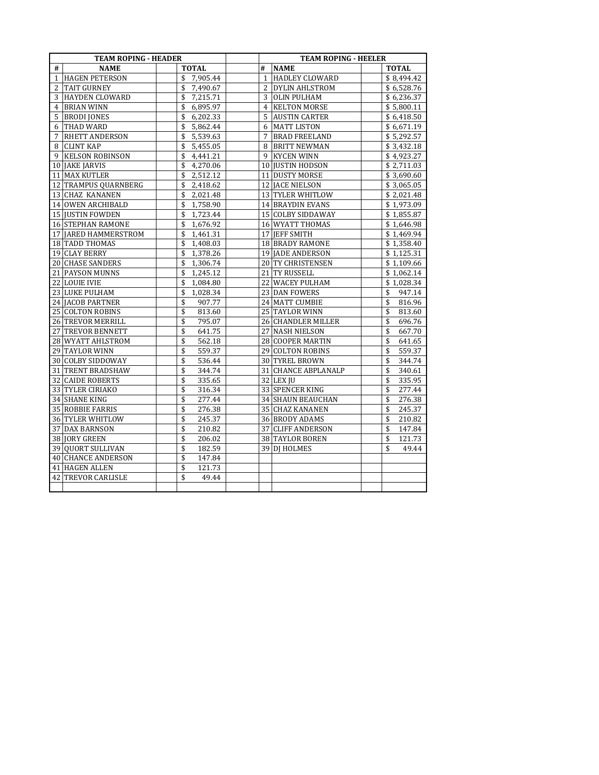| <b>TEAM ROPING - HEADER</b> |                          |                |                | <b>TEAM ROPING - HEELER</b> |              |  |  |
|-----------------------------|--------------------------|----------------|----------------|-----------------------------|--------------|--|--|
| #                           | <b>NAME</b>              | <b>TOTAL</b>   | #              | <b>NAME</b>                 | <b>TOTAL</b> |  |  |
| $\mathbf{1}$                | <b>HAGEN PETERSON</b>    | \$<br>7,905.44 | $\mathbf{1}$   | <b>HADLEY CLOWARD</b>       | \$8,494.42   |  |  |
| 2                           | <b>TAIT GURNEY</b>       | \$<br>7,490.67 | 2              | DYLIN AHLSTROM              | \$6,528.76   |  |  |
| 3                           | <b>HAYDEN CLOWARD</b>    | \$<br>7,215.71 | 3              | <b>OLIN PULHAM</b>          | \$6,236.37   |  |  |
| 4                           | <b>BRIAN WINN</b>        | \$<br>6,895.97 | $\overline{4}$ | <b>KELTON MORSE</b>         | \$5,800.11   |  |  |
| 5                           | <b>BRODI JONES</b>       | 6,202.33<br>\$ | 5              | <b>AUSTIN CARTER</b>        | \$6,418.50   |  |  |
| 6                           | THAD WARD                | \$<br>5,862.44 | 6              | <b>MATT LISTON</b>          | \$6,671.19   |  |  |
| 7                           | RHETT ANDERSON           | \$<br>5,539.63 | 7              | <b>BRAD FREELAND</b>        | \$5,292.57   |  |  |
| 8                           | <b>CLINT KAP</b>         | 5,455.05<br>\$ | 8              | <b>BRITT NEWMAN</b>         | \$3,432.18   |  |  |
| 9                           | <b>KELSON ROBINSON</b>   | \$<br>4,441.21 | 9              | <b>KYCEN WINN</b>           | \$4,923.27   |  |  |
| 10                          | JAKE JARVIS              | \$<br>4,270.06 |                | 10 JUSTIN HODSON            | \$2,711.03   |  |  |
|                             | 11 MAX KUTLER            | \$<br>2,512.12 |                | 11 DUSTY MORSE              | \$3,690.60   |  |  |
|                             | 12 TRAMPUS QUARNBERG     | \$<br>2,418.62 |                | 12 JACE NIELSON             | \$3,065.05   |  |  |
| 13                          | <b>CHAZ KANANEN</b>      | \$<br>2,021.48 |                | 13 TYLER WHITLOW            | \$2,021.48   |  |  |
|                             | 14 OWEN ARCHIBALD        | \$<br>1,758.90 |                | 14 BRAYDIN EVANS            | \$1,973.09   |  |  |
|                             | 15 JUSTIN FOWDEN         | \$<br>1,723.44 |                | 15 COLBY SIDDAWAY           | \$1,855.87   |  |  |
|                             | <b>16 STEPHAN RAMONE</b> | \$<br>1,676.92 |                | 16 WYATT THOMAS             | \$1,646.98   |  |  |
|                             | 17 JARED HAMMERSTROM     | \$<br>1,461.31 |                | 17 JEFF SMITH               | \$1,469.94   |  |  |
|                             | 18 TADD THOMAS           | \$<br>1,408.03 |                | 18 BRADY RAMONE             | \$1,358.40   |  |  |
|                             | 19 CLAY BERRY            | \$<br>1,378.26 |                | 19 JADE ANDERSON            | \$1,125.31   |  |  |
|                             | 20 CHASE SANDERS         | \$<br>1,306.74 |                | 20 TY CHRISTENSEN           | \$1,109.66   |  |  |
|                             | 21 PAYSON MUNNS          | \$<br>1.245.12 |                | 21 TY RUSSELL               | \$1,062.14   |  |  |
|                             | 22 LOUIE IVIE            | \$<br>1.084.80 | 22             | WACEY PULHAM                | \$1,028.34   |  |  |
|                             | 23 LUKE PULHAM           | \$<br>1,028.34 |                | 23 DAN FOWERS               | 947.14<br>\$ |  |  |
|                             | 24 JACOB PARTNER         | \$<br>907.77   |                | 24 MATT CUMBIE              | \$<br>816.96 |  |  |
|                             | 25 COLTON ROBINS         | \$<br>813.60   |                | 25 TAYLOR WINN              | \$<br>813.60 |  |  |
|                             | 26 TREVOR MERRILL        | \$<br>795.07   |                | 26 CHANDLER MILLER          | \$<br>696.76 |  |  |
| 27                          | TREVOR BENNETT           | \$<br>641.75   |                | 27 NASH NIELSON             | \$<br>667.70 |  |  |
|                             | 28 WYATT AHLSTROM        | \$<br>562.18   |                | 28 COOPER MARTIN            | \$<br>641.65 |  |  |
|                             | 29 TAYLOR WINN           | \$<br>559.37   |                | 29 COLTON ROBINS            | \$<br>559.37 |  |  |
| 30                          | COLBY SIDDOWAY           | \$<br>536.44   |                | 30 TYREL BROWN              | \$<br>344.74 |  |  |
|                             | 31 TRENT BRADSHAW        | \$<br>344.74   |                | 31 CHANCE ABPLANALP         | \$<br>340.61 |  |  |
|                             | 32 CAIDE ROBERTS         | \$<br>335.65   |                | $32$ LEX JU                 | \$<br>335.95 |  |  |
|                             | 33 TYLER CIRIAKO         | \$<br>316.34   |                | 33 SPENCER KING             | \$<br>277.44 |  |  |
|                             | 34 SHANE KING            | \$<br>277.44   |                | <b>34 SHAUN BEAUCHAN</b>    | \$<br>276.38 |  |  |
|                             | 35 ROBBIE FARRIS         | \$<br>276.38   |                | 35 CHAZ KANANEN             | \$<br>245.37 |  |  |
|                             | 36 TYLER WHITLOW         | \$<br>245.37   |                | 36 BRODY ADAMS              | \$<br>210.82 |  |  |
|                             | 37 DAX BARNSON           | \$<br>210.82   |                | 37 CLIFF ANDERSON           | \$<br>147.84 |  |  |
|                             | 38 JORY GREEN            | \$<br>206.02   |                | 38 TAYLOR BOREN             | \$<br>121.73 |  |  |
| 39                          | <b>QUORT SULLIVAN</b>    | \$<br>182.59   |                | 39 DJ HOLMES                | \$<br>49.44  |  |  |
|                             | 40 CHANCE ANDERSON       | \$<br>147.84   |                |                             |              |  |  |
|                             | 41 HAGEN ALLEN           | \$<br>121.73   |                |                             |              |  |  |
|                             | 42 TREVOR CARLISLE       | \$<br>49.44    |                |                             |              |  |  |
|                             |                          |                |                |                             |              |  |  |